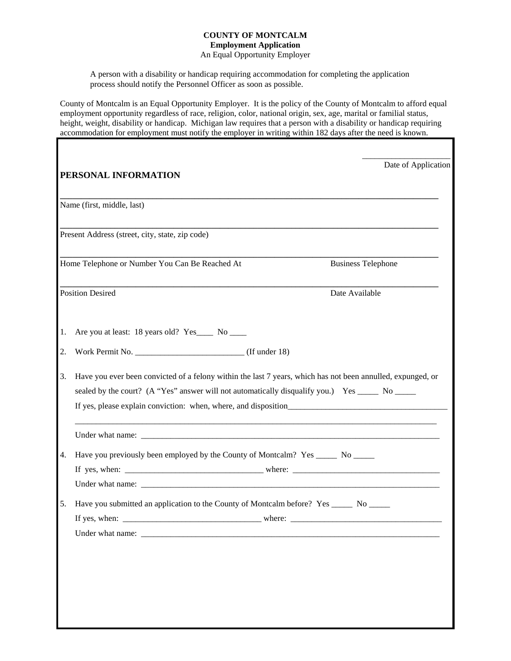### **COUNTY OF MONTCALM Employment Application**

An Equal Opportunity Employer

A person with a disability or handicap requiring accommodation for completing the application process should notify the Personnel Officer as soon as possible.

County of Montcalm is an Equal Opportunity Employer. It is the policy of the County of Montcalm to afford equal employment opportunity regardless of race, religion, color, national origin, sex, age, marital or familial status, height, weight, disability or handicap. Michigan law requires that a person with a disability or handicap requiring accommodation for employment must notify the employer in writing within 182 days after the need is known.

|    | PERSONAL INFORMATION                                                                                                                                                                                             | Date of Application |
|----|------------------------------------------------------------------------------------------------------------------------------------------------------------------------------------------------------------------|---------------------|
|    | Name (first, middle, last)                                                                                                                                                                                       |                     |
|    | Present Address (street, city, state, zip code)                                                                                                                                                                  |                     |
|    | Home Telephone or Number You Can Be Reached At<br><b>Business Telephone</b>                                                                                                                                      |                     |
|    | <b>Position Desired</b><br>Date Available                                                                                                                                                                        |                     |
| 1. | Are you at least: 18 years old? Yes_____ No _____                                                                                                                                                                |                     |
| 2. |                                                                                                                                                                                                                  |                     |
| 3. | Have you ever been convicted of a felony within the last 7 years, which has not been annulled, expunged, or<br>sealed by the court? (A "Yes" answer will not automatically disqualify you.) Yes ______ No ______ |                     |
|    |                                                                                                                                                                                                                  |                     |
| 4. | Have you previously been employed by the County of Montcalm? Yes _______ No ______                                                                                                                               |                     |
|    |                                                                                                                                                                                                                  |                     |
|    |                                                                                                                                                                                                                  |                     |
| 5. | Have you submitted an application to the County of Montcalm before? Yes _______ No ______                                                                                                                        |                     |
|    |                                                                                                                                                                                                                  |                     |
|    |                                                                                                                                                                                                                  |                     |
|    |                                                                                                                                                                                                                  |                     |
|    |                                                                                                                                                                                                                  |                     |
|    |                                                                                                                                                                                                                  |                     |
|    |                                                                                                                                                                                                                  |                     |
|    |                                                                                                                                                                                                                  |                     |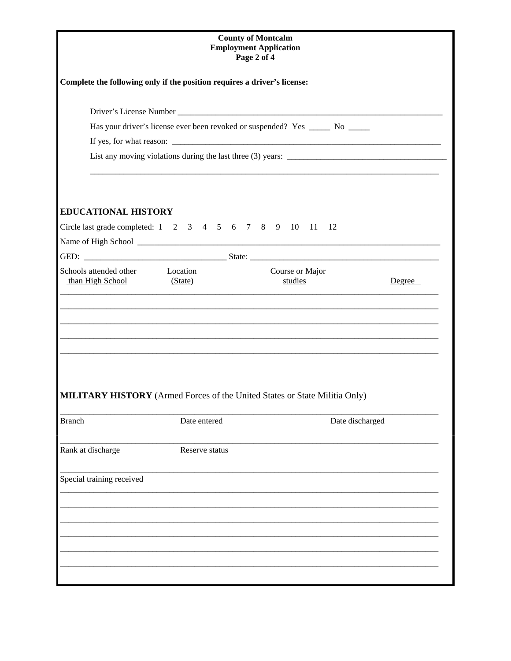| <b>County of Montcalm</b><br><b>Employment Application</b><br>Page 2 of 4 |                |                                                                                   |        |  |  |
|---------------------------------------------------------------------------|----------------|-----------------------------------------------------------------------------------|--------|--|--|
| Complete the following only if the position requires a driver's license:  |                |                                                                                   |        |  |  |
|                                                                           |                |                                                                                   |        |  |  |
|                                                                           |                | Has your driver's license ever been revoked or suspended? Yes ______ No ______    |        |  |  |
|                                                                           |                |                                                                                   |        |  |  |
|                                                                           |                |                                                                                   |        |  |  |
| <b>EDUCATIONAL HISTORY</b>                                                |                |                                                                                   |        |  |  |
|                                                                           |                | Circle last grade completed: 1 2 3 4 5 6 7 8 9 10 11 12                           |        |  |  |
|                                                                           |                |                                                                                   |        |  |  |
| Schools attended other Location<br>than High School (State)               |                | Course or Major<br>studies                                                        | Degree |  |  |
|                                                                           |                | <b>MILITARY HISTORY</b> (Armed Forces of the United States or State Militia Only) |        |  |  |
| <b>Branch</b>                                                             | Date entered   | Date discharged                                                                   |        |  |  |
| Rank at discharge                                                         | Reserve status |                                                                                   |        |  |  |
| Special training received                                                 |                |                                                                                   |        |  |  |
|                                                                           |                |                                                                                   |        |  |  |
|                                                                           |                |                                                                                   |        |  |  |
|                                                                           |                |                                                                                   |        |  |  |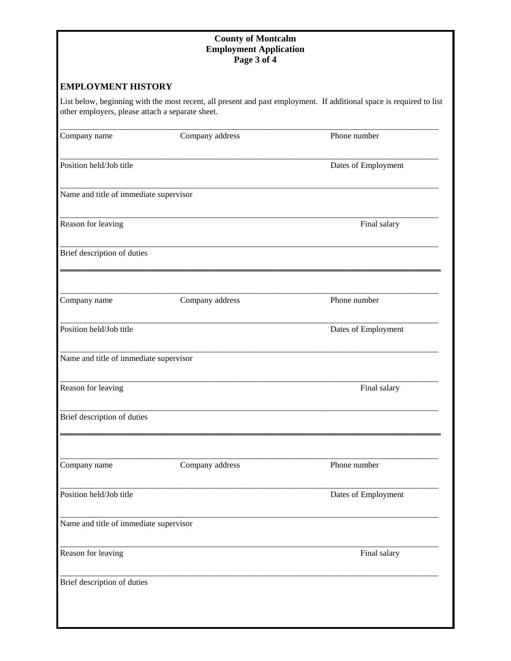### **County of Montcalm Employment Application Page 3 of 4**

### **EMPLOYMENT HISTORY**

List below, beginning with the most recent, all present and past employment. If additional space is required to list other employers, please attach a separate sheet.

| Company name                           | Company address             | Phone number        |
|----------------------------------------|-----------------------------|---------------------|
| Position held/Job title                |                             | Dates of Employment |
| Name and title of immediate supervisor |                             |                     |
| Reason for leaving                     |                             | Final salary        |
| Brief description of duties            |                             |                     |
| Company name                           | Company address             | Phone number        |
| Position held/Job title                |                             | Dates of Employment |
| Name and title of immediate supervisor |                             |                     |
| Reason for leaving                     |                             | Final salary        |
| Brief description of duties            |                             |                     |
| Company name                           | Company address             | Phone number        |
| Position held/Job title                |                             | Dates of Employment |
| Name and title of immediate supervisor |                             |                     |
| Reason for leaving                     |                             | Final salary        |
|                                        | Brief description of duties |                     |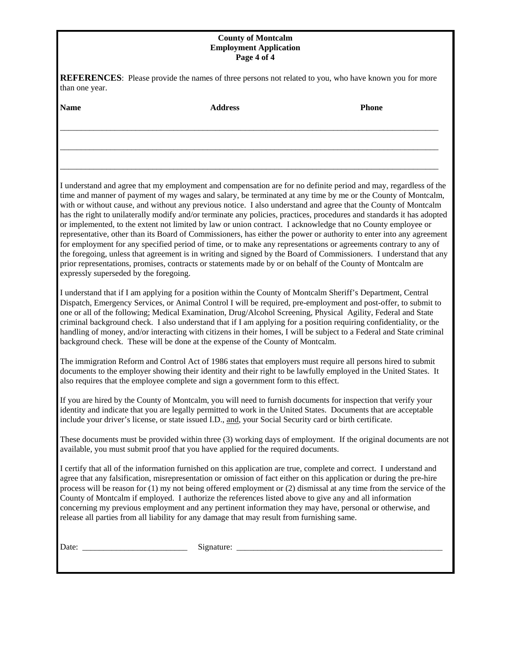#### **County of Montcalm Employment Application Page 4 of 4**

|                | REFERENCES: Please provide the names of three persons not related to you, who have known you for more |
|----------------|-------------------------------------------------------------------------------------------------------|
| than one year. |                                                                                                       |

| than one year.                         |                                                                                                                                                                                                                                                                                                                                                                                                                                                                                                                                                                                                                                                                                                                                                                                                                                                                                                                                                                                                                                                                                 |              |
|----------------------------------------|---------------------------------------------------------------------------------------------------------------------------------------------------------------------------------------------------------------------------------------------------------------------------------------------------------------------------------------------------------------------------------------------------------------------------------------------------------------------------------------------------------------------------------------------------------------------------------------------------------------------------------------------------------------------------------------------------------------------------------------------------------------------------------------------------------------------------------------------------------------------------------------------------------------------------------------------------------------------------------------------------------------------------------------------------------------------------------|--------------|
| <b>Name</b>                            | <b>Address</b>                                                                                                                                                                                                                                                                                                                                                                                                                                                                                                                                                                                                                                                                                                                                                                                                                                                                                                                                                                                                                                                                  | <b>Phone</b> |
|                                        |                                                                                                                                                                                                                                                                                                                                                                                                                                                                                                                                                                                                                                                                                                                                                                                                                                                                                                                                                                                                                                                                                 |              |
| expressly superseded by the foregoing. | I understand and agree that my employment and compensation are for no definite period and may, regardless of the<br>time and manner of payment of my wages and salary, be terminated at any time by me or the County of Montcalm,<br>with or without cause, and without any previous notice. I also understand and agree that the County of Montcalm<br>has the right to unilaterally modify and/or terminate any policies, practices, procedures and standards it has adopted<br>or implemented, to the extent not limited by law or union contract. I acknowledge that no County employee or<br>representative, other than its Board of Commissioners, has either the power or authority to enter into any agreement<br>for employment for any specified period of time, or to make any representations or agreements contrary to any of<br>the foregoing, unless that agreement is in writing and signed by the Board of Commissioners. I understand that any<br>prior representations, promises, contracts or statements made by or on behalf of the County of Montcalm are |              |
|                                        | I understand that if I am applying for a position within the County of Montcalm Sheriff's Department, Central<br>Dispatch, Emergency Services, or Animal Control I will be required, pre-employment and post-offer, to submit to<br>one or all of the following; Medical Examination, Drug/Alcohol Screening, Physical Agility, Federal and State<br>criminal background check. I also understand that if I am applying for a position requiring confidentiality, or the<br>handling of money, and/or interacting with citizens in their homes, I will be subject to a Federal and State criminal<br>background check. These will be done at the expense of the County of Montcalm.                                                                                                                                                                                                                                                                                                                                                                                             |              |
|                                        | The immigration Reform and Control Act of 1986 states that employers must require all persons hired to submit<br>documents to the employer showing their identity and their right to be lawfully employed in the United States. It<br>also requires that the employee complete and sign a government form to this effect.                                                                                                                                                                                                                                                                                                                                                                                                                                                                                                                                                                                                                                                                                                                                                       |              |
|                                        | If you are hired by the County of Montcalm, you will need to furnish documents for inspection that verify your<br>identity and indicate that you are legally permitted to work in the United States. Documents that are acceptable<br>include your driver's license, or state issued I.D., and, your Social Security card or birth certificate.                                                                                                                                                                                                                                                                                                                                                                                                                                                                                                                                                                                                                                                                                                                                 |              |
|                                        | These documents must be provided within three (3) working days of employment. If the original documents are not<br>available, you must submit proof that you have applied for the required documents.                                                                                                                                                                                                                                                                                                                                                                                                                                                                                                                                                                                                                                                                                                                                                                                                                                                                           |              |
|                                        | I certify that all of the information furnished on this application are true, complete and correct. I understand and<br>agree that any falsification, misrepresentation or omission of fact either on this application or during the pre-hire<br>process will be reason for (1) my not being offered employment or (2) dismissal at any time from the service of the<br>County of Montcalm if employed. I authorize the references listed above to give any and all information<br>concerning my previous employment and any pertinent information they may have, personal or otherwise, and<br>release all parties from all liability for any damage that may result from furnishing same.                                                                                                                                                                                                                                                                                                                                                                                     |              |

Date: \_\_\_\_\_\_\_\_\_\_\_\_\_\_\_\_\_\_\_\_\_\_\_\_\_ Signature: \_\_\_\_\_\_\_\_\_\_\_\_\_\_\_\_\_\_\_\_\_\_\_\_\_\_\_\_\_\_\_\_\_\_\_\_\_\_\_\_\_\_\_\_\_\_\_\_\_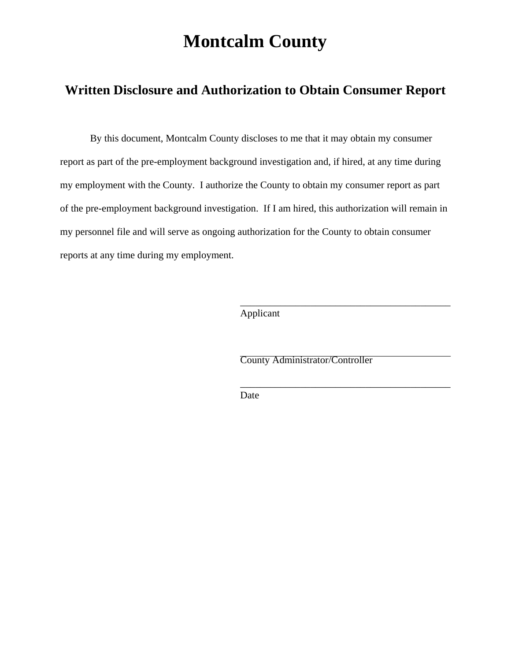# **Montcalm County**

## **Written Disclosure and Authorization to Obtain Consumer Report**

By this document, Montcalm County discloses to me that it may obtain my consumer report as part of the pre-employment background investigation and, if hired, at any time during my employment with the County. I authorize the County to obtain my consumer report as part of the pre-employment background investigation. If I am hired, this authorization will remain in my personnel file and will serve as ongoing authorization for the County to obtain consumer reports at any time during my employment.

 $\overline{\phantom{a}}$  , and the contract of the contract of the contract of the contract of the contract of the contract of the contract of the contract of the contract of the contract of the contract of the contract of the contrac Applicant

County Administrator/Controller

Date

 $\overline{\phantom{a}}$  , and the contract of the contract of the contract of the contract of the contract of the contract of the contract of the contract of the contract of the contract of the contract of the contract of the contrac